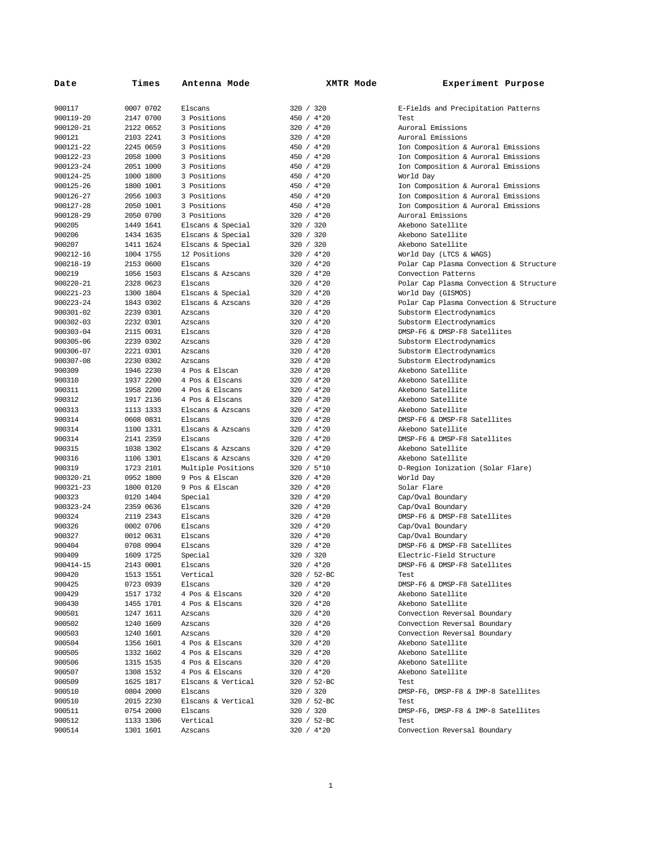| Date      | Times     | Antenna Mode       | XMTR Mode    | Experiment Purpose                      |
|-----------|-----------|--------------------|--------------|-----------------------------------------|
| 900117    | 0007 0702 | Elscans            | 320 / 320    | E-Fields and Precipitation Patterns     |
| 900119-20 | 2147 0700 | 3 Positions        | 450 / 4*20   | Test                                    |
| 900120-21 | 2122 0652 | 3 Positions        | 320 / 4*20   | Auroral Emissions                       |
| 900121    | 2103 2241 | 3 Positions        | 320 / 4*20   | Auroral Emissions                       |
| 900121-22 | 2245 0659 | 3 Positions        | 450 / 4*20   | Ion Composition & Auroral Emissions     |
| 900122-23 | 2058 1000 | 3 Positions        | 450 / 4*20   | Ion Composition & Auroral Emissions     |
| 900123-24 | 2051 1000 | 3 Positions        | 450 / 4*20   | Ion Composition & Auroral Emissions     |
| 900124-25 | 1000 1800 | 3 Positions        | 450 / 4*20   | World Day                               |
| 900125-26 | 1800 1001 | 3 Positions        | 450 / 4*20   | Ion Composition & Auroral Emissions     |
| 900126-27 | 2056 1003 | 3 Positions        | 450 / 4*20   | Ion Composition & Auroral Emissions     |
| 900127-28 | 2050 1001 | 3 Positions        | 450 / 4*20   | Ion Composition & Auroral Emissions     |
| 900128-29 | 2050 0700 | 3 Positions        | 320 / 4*20   | Auroral Emissions                       |
| 900205    | 1449 1641 | Elscans & Special  | 320 / 320    | Akebono Satellite                       |
| 900206    | 1434 1635 | Elscans & Special  | 320 / 320    | Akebono Satellite                       |
| 900207    | 1411 1624 | Elscans & Special  | 320 / 320    | Akebono Satellite                       |
| 900212-16 | 1004 1755 | 12 Positions       | 320 / 4*20   | World Day (LTCS & WAGS)                 |
| 900218-19 | 2153 0600 | Elscans            | 320 / 4*20   | Polar Cap Plasma Convection & Structure |
| 900219    | 1056 1503 | Elscans & Azscans  | 320 / 4*20   | Convection Patterns                     |
| 900220-21 | 2328 0623 | Elscans            | 320 / 4*20   | Polar Cap Plasma Convection & Structure |
| 900221-23 | 1300 1804 | Elscans & Special  | 320 / 4*20   | World Day (GISMOS)                      |
| 900223-24 | 1843 0302 | Elscans & Azscans  | 320 / 4*20   | Polar Cap Plasma Convection & Structure |
| 900301-02 | 2239 0301 | Azscans            | 320 / 4*20   | Substorm Electrodynamics                |
| 900302-03 | 2232 0301 | Azscans            | 320 / 4*20   | Substorm Electrodynamics                |
| 900303-04 | 2115 0031 | Elscans            | 320 / 4*20   | DMSP-F6 & DMSP-F8 Satellites            |
| 900305-06 | 2239 0302 | Azscans            | 320 / 4*20   | Substorm Electrodynamics                |
| 900306-07 | 2221 0301 | Azscans            | 320 / 4*20   | Substorm Electrodynamics                |
| 900307-08 | 2230 0302 | Azscans            | 320 / 4*20   | Substorm Electrodynamics                |
| 900309    | 1946 2230 | 4 Pos & Elscan     | 320 / 4*20   | Akebono Satellite                       |
| 900310    | 1937 2200 | 4 Pos & Elscans    | 320 / 4*20   | Akebono Satellite                       |
| 900311    | 1958 2200 | 4 Pos & Elscans    | 320 / 4*20   | Akebono Satellite                       |
| 900312    | 1917 2136 | 4 Pos & Elscans    | 320 / 4*20   | Akebono Satellite                       |
| 900313    | 1113 1333 | Elscans & Azscans  | 320 / 4*20   | Akebono Satellite                       |
| 900314    | 0608 0831 | Elscans            | 320 / 4*20   | DMSP-F6 & DMSP-F8 Satellites            |
| 900314    | 1100 1331 | Elscans & Azscans  | 320 / 4*20   | Akebono Satellite                       |
| 900314    | 2141 2359 | Elscans            | 320 / 4*20   | DMSP-F6 & DMSP-F8 Satellites            |
| 900315    | 1038 1302 | Elscans & Azscans  | 320 / 4*20   | Akebono Satellite                       |
| 900316    | 1106 1301 | Elscans & Azscans  | 320 / 4*20   | Akebono Satellite                       |
| 900319    | 1723 2101 | Multiple Positions | 320 / 5*10   | D-Region Ionization (Solar Flare)       |
| 900320-21 | 0952 1800 | 9 Pos & Elscan     | 320 / 4*20   | World Day                               |
| 900321-23 | 1800 0120 | 9 Pos & Elscan     | 320 / 4*20   | Solar Flare                             |
| 900323    | 0120 1404 | Special            | $320 / 4*20$ | Cap/Oval Boundary                       |
| 900323-24 | 2359 0636 | Elscans            | 320 / 4*20   | Cap/Oval Boundary                       |
| 900324    | 2119 2343 | Elscans            | $320 / 4*20$ | DMSP-F6 & DMSP-F8 Satellites            |
| 900326    | 0002 0706 | Elscans            | $320 / 4*20$ | Cap/Oval Boundary                       |
| 900327    | 0012 0631 | Elscans            | 320 / 4*20   | Cap/Oval Boundary                       |
| 900404    | 0708 0904 | Elscans            | 320 / 4*20   | DMSP-F6 & DMSP-F8 Satellites            |
| 900409    | 1609 1725 | Special            | 320 / 320    | Electric-Field Structure                |
| 900414-15 | 2143 0001 | Elscans            | 320 / 4*20   | DMSP-F6 & DMSP-F8 Satellites            |
| 900420    | 1513 1551 | Vertical           | 320 / 52-BC  | Test                                    |
| 900425    | 0723 0939 | Elscans            | 320 / 4*20   | DMSP-F6 & DMSP-F8 Satellites            |
| 900429    | 1517 1732 | 4 Pos & Elscans    | 320 / 4*20   | Akebono Satellite                       |
| 900430    | 1455 1701 | 4 Pos & Elscans    | 320 / 4*20   | Akebono Satellite                       |
| 900501    | 1247 1611 | Azscans            | 320 / 4*20   | Convection Reversal Boundary            |
| 900502    | 1240 1609 | Azscans            | 320 / 4*20   | Convection Reversal Boundary            |
| 900503    | 1240 1601 | Azscans            | 320 / 4*20   | Convection Reversal Boundary            |
| 900504    | 1356 1601 | 4 Pos & Elscans    | 320 / 4*20   | Akebono Satellite                       |
| 900505    | 1332 1602 | 4 Pos & Elscans    | 320 / 4*20   | Akebono Satellite                       |
| 900506    | 1315 1535 | 4 Pos & Elscans    | 320 / 4*20   | Akebono Satellite                       |
| 900507    | 1308 1532 | 4 Pos & Elscans    | 320 / 4*20   | Akebono Satellite                       |
| 900509    | 1625 1817 | Elscans & Vertical | 320 / 52-BC  | Test                                    |
| 900510    | 0804 2000 | Elscans            | 320 / 320    | DMSP-F6, DMSP-F8 & IMP-8 Satellites     |
| 900510    | 2015 2230 | Elscans & Vertical | 320 / 52-BC  | Test                                    |
| 900511    | 0754 2000 | Elscans            | 320 / 320    | DMSP-F6, DMSP-F8 & IMP-8 Satellites     |
| 900512    | 1133 1306 | Vertical           | 320 / 52-BC  | Test                                    |
| 900514    | 1301 1601 | Azscans            | 320 / 4*20   | Convection Reversal Boundary            |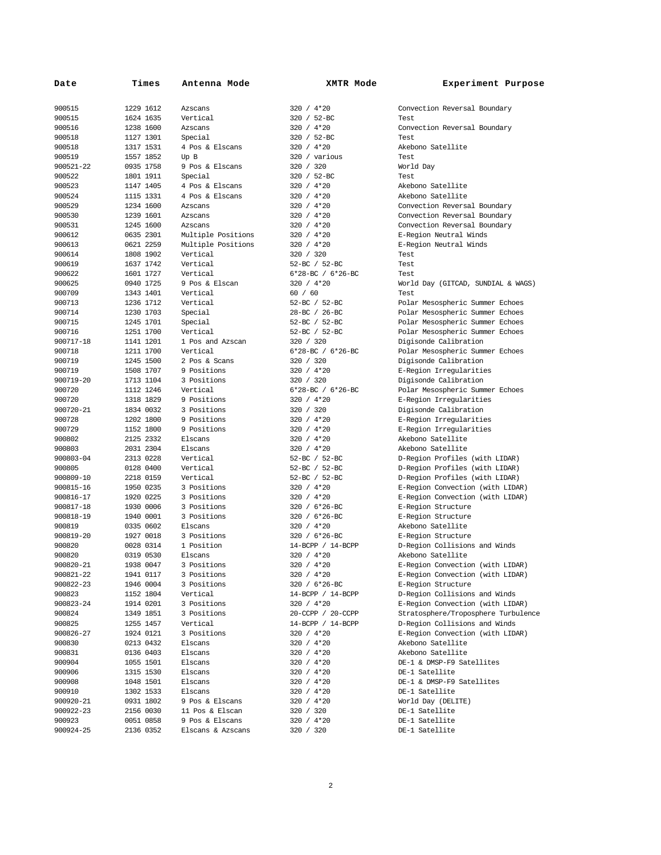| Date      | Times     | Antenna Mode       | XMTR Mode         | Experiment Purpose                  |
|-----------|-----------|--------------------|-------------------|-------------------------------------|
| 900515    | 1229 1612 | Azscans            | 320 / 4*20        | Convection Reversal Boundary        |
| 900515    | 1624 1635 | Vertical           | 320 / 52-BC       | Test                                |
| 900516    | 1238 1600 | Azscans            | 320 / 4*20        | Convection Reversal Boundary        |
| 900518    | 1127 1301 | Special            | 320 / 52-BC       | Test                                |
| 900518    | 1317 1531 | 4 Pos & Elscans    | 320 / 4*20        | Akebono Satellite                   |
| 900519    | 1557 1852 | Up B               | 320 / various     | Test                                |
| 900521-22 | 0935 1758 | 9 Pos & Elscans    | 320 / 320         | World Day                           |
| 900522    | 1801 1911 | Special            | 320 / 52-BC       | Test                                |
| 900523    | 1147 1405 | 4 Pos & Elscans    | 320 / 4*20        | Akebono Satellite                   |
| 900524    | 1115 1331 | 4 Pos & Elscans    | 320 / 4*20        | Akebono Satellite                   |
| 900529    | 1234 1600 | Azscans            | 320 / 4*20        | Convection Reversal Boundary        |
| 900530    | 1239 1601 | Azscans            | 320 / 4*20        | Convection Reversal Boundary        |
| 900531    | 1245 1600 | Azscans            | 320 / 4*20        | Convection Reversal Boundary        |
| 900612    | 0635 2301 | Multiple Positions | 320 / 4*20        | E-Region Neutral Winds              |
| 900613    | 0621 2259 | Multiple Positions | 320 / 4*20        | E-Region Neutral Winds              |
| 900614    | 1808 1902 | Vertical           | 320 / 320         | Test                                |
| 900619    | 1637 1742 | Vertical           | 52-BC / 52-BC     | Test                                |
| 900622    | 1601 1727 | Vertical           | 6*28-BC / 6*26-BC | Test                                |
| 900625    | 0940 1725 | 9 Pos & Elscan     | 320 / 4*20        | World Day (GITCAD, SUNDIAL & WAGS)  |
| 900709    | 1343 1401 | Vertical           | 60 / 60           | Test                                |
| 900713    | 1236 1712 | Vertical           | 52-BC / 52-BC     | Polar Mesospheric Summer Echoes     |
| 900714    | 1230 1703 | Special            | 28-BC / 26-BC     | Polar Mesospheric Summer Echoes     |
| 900715    | 1245 1701 | Special            | 52-BC / 52-BC     | Polar Mesospheric Summer Echoes     |
| 900716    | 1251 1700 | Vertical           | 52-BC / 52-BC     | Polar Mesospheric Summer Echoes     |
| 900717-18 | 1141 1201 | 1 Pos and Azscan   | 320 / 320         | Digisonde Calibration               |
| 900718    | 1211 1700 | Vertical           | 6*28-BC / 6*26-BC | Polar Mesospheric Summer Echoes     |
| 900719    | 1245 1500 | 2 Pos & Scans      | 320 / 320         | Digisonde Calibration               |
| 900719    | 1508 1707 | 9 Positions        | 320 / 4*20        | E-Region Irregularities             |
| 900719-20 | 1713 1104 | 3 Positions        | 320 / 320         | Digisonde Calibration               |
| 900720    | 1112 1246 | Vertical           | 6*28-BC / 6*26-BC | Polar Mesospheric Summer Echoes     |
| 900720    | 1318 1829 | 9 Positions        | 320 / 4*20        | E-Region Irregularities             |
| 900720-21 | 1834 0032 | 3 Positions        | 320 / 320         | Digisonde Calibration               |
| 900728    | 1202 1800 | 9 Positions        | 320 / 4*20        | E-Region Irregularities             |
| 900729    | 1152 1800 | 9 Positions        | $320 / 4*20$      | E-Region Irregularities             |
| 900802    | 2125 2332 | Elscans            | 320 / 4*20        | Akebono Satellite                   |
| 900803    | 2031 2304 | Elscans            | 320 / 4*20        | Akebono Satellite                   |
| 900803-04 | 2313 0228 | Vertical           | 52-BC / 52-BC     | D-Region Profiles (with LIDAR)      |
| 900805    | 0128 0400 | Vertical           | 52-BC / 52-BC     | D-Region Profiles (with LIDAR)      |
| 900809-10 | 2218 0159 | Vertical           | 52-BC / 52-BC     | D-Region Profiles (with LIDAR)      |
| 900815-16 | 1950 0235 | 3 Positions        | 320 / 4*20        | E-Region Convection (with LIDAR)    |
| 900816-17 | 1920 0225 | 3 Positions        | 320 / 4*20        | E-Region Convection (with LIDAR)    |
| 900817-18 | 1930 0006 | 3 Positions        | 320 / 6*26-BC     | E-Region Structure                  |
| 900818-19 | 1940 0001 | 3 Positions        | 320 / 6*26-BC     | E-Region Structure                  |
| 900819    | 0335 0602 | Elscans            | 320 / 4*20        | Akebono Satellite                   |
| 900819-20 | 1927 0018 | 3 Positions        | 320 / 6*26-BC     | E-Region Structure                  |
| 900820    | 0028 0314 | 1 Position         | 14-BCPP / 14-BCPP | D-Region Collisions and Winds       |
| 900820    | 0319 0530 | Elscans            | 320 / 4*20        | Akebono Satellite                   |
| 900820-21 | 1938 0047 | 3 Positions        | 320 / 4*20        | E-Region Convection (with LIDAR)    |
| 900821-22 | 1941 0117 | 3 Positions        | 320 / 4*20        | E-Region Convection (with LIDAR)    |
| 900822-23 | 1946 0004 | 3 Positions        | 320 / 6*26-BC     | E-Region Structure                  |
| 900823    | 1152 1804 | Vertical           | 14-BCPP / 14-BCPP | D-Region Collisions and Winds       |
| 900823-24 | 1914 0201 | 3 Positions        | 320 / 4*20        | E-Region Convection (with LIDAR)    |
| 900824    | 1349 1851 | 3 Positions        | 20-CCPP / 20-CCPP | Stratosphere/Troposphere Turbulence |
| 900825    | 1255 1457 | Vertical           | 14-BCPP / 14-BCPP | D-Region Collisions and Winds       |
| 900826-27 | 1924 0121 | 3 Positions        | 320 / 4*20        | E-Region Convection (with LIDAR)    |
| 900830    | 0213 0432 | Elscans            | $320 / 4*20$      | Akebono Satellite                   |
| 900831    | 0136 0403 | Elscans            | 320 / 4*20        | Akebono Satellite                   |
| 900904    | 1055 1501 | Elscans            | 320 / 4*20        | DE-1 & DMSP-F9 Satellites           |
| 900906    | 1315 1530 | Elscans            | 320 / 4*20        | DE-1 Satellite                      |
| 900908    | 1048 1501 | Elscans            | 320 / 4*20        | DE-1 & DMSP-F9 Satellites           |
| 900910    | 1302 1533 | Elscans            | 320 / 4*20        | DE-1 Satellite                      |
| 900920-21 | 0931 1802 | 9 Pos & Elscans    | 320 / 4*20        | World Day (DELITE)                  |
| 900922-23 | 2156 0030 | 11 Pos & Elscan    | 320 / 320         | DE-1 Satellite                      |
| 900923    | 0051 0858 | 9 Pos & Elscans    | 320 / 4*20        | DE-1 Satellite                      |
| 900924-25 | 2136 0352 | Elscans & Azscans  | 320 / 320         | DE-1 Satellite                      |
|           |           |                    |                   |                                     |